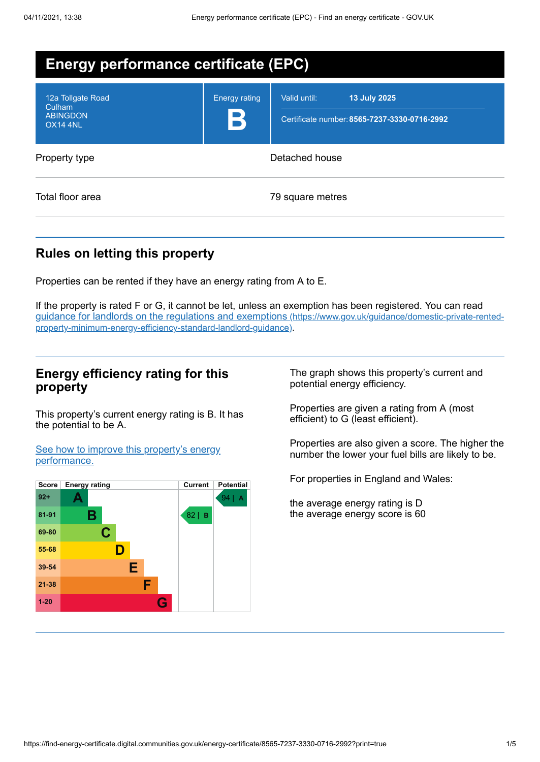| <b>Energy performance certificate (EPC)</b>                       |                                     |                                                                                     |  |  |
|-------------------------------------------------------------------|-------------------------------------|-------------------------------------------------------------------------------------|--|--|
| 12a Tollgate Road<br>Culham<br><b>ABINGDON</b><br><b>OX14 4NL</b> | <b>Energy rating</b><br>$\mathbf B$ | <b>13 July 2025</b><br>Valid until:<br>Certificate number: 8565-7237-3330-0716-2992 |  |  |
| Property type                                                     | Detached house                      |                                                                                     |  |  |
| Total floor area                                                  |                                     | 79 square metres                                                                    |  |  |

## **Rules on letting this property**

Properties can be rented if they have an energy rating from A to E.

If the property is rated F or G, it cannot be let, unless an exemption has been registered. You can read guidance for landlords on the regulations and exemptions (https://www.gov.uk/guidance/domestic-private-rented[property-minimum-energy-efficiency-standard-landlord-guidance\)](https://www.gov.uk/guidance/domestic-private-rented-property-minimum-energy-efficiency-standard-landlord-guidance).

## **Energy efficiency rating for this property**

This property's current energy rating is B. It has the potential to be A.

See how to improve this property's energy [performance.](#page-2-0)



The graph shows this property's current and potential energy efficiency.

Properties are given a rating from A (most efficient) to G (least efficient).

Properties are also given a score. The higher the number the lower your fuel bills are likely to be.

For properties in England and Wales:

the average energy rating is D the average energy score is 60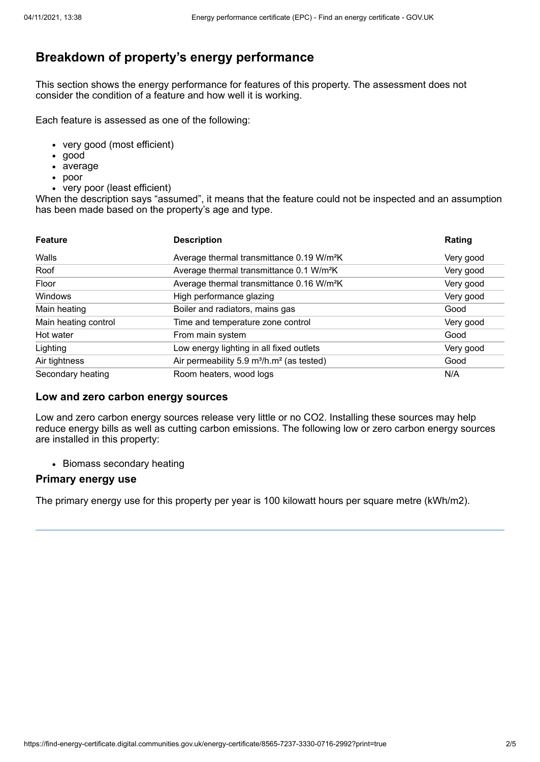# **Breakdown of property's energy performance**

This section shows the energy performance for features of this property. The assessment does not consider the condition of a feature and how well it is working.

Each feature is assessed as one of the following:

- very good (most efficient)
- good
- average
- poor
- very poor (least efficient)

When the description says "assumed", it means that the feature could not be inspected and an assumption has been made based on the property's age and type.

| <b>Feature</b>       | <b>Description</b>                                                | Rating    |
|----------------------|-------------------------------------------------------------------|-----------|
| Walls                | Average thermal transmittance 0.19 W/m <sup>2</sup> K             | Very good |
| Roof                 | Average thermal transmittance 0.1 W/m <sup>2</sup> K              | Very good |
| Floor                | Average thermal transmittance 0.16 W/m <sup>2</sup> K             | Very good |
| Windows              | High performance glazing                                          | Very good |
| Main heating         | Boiler and radiators, mains gas                                   | Good      |
| Main heating control | Time and temperature zone control                                 | Very good |
| Hot water            | From main system                                                  | Good      |
| Lighting             | Low energy lighting in all fixed outlets                          | Very good |
| Air tightness        | Air permeability 5.9 m <sup>3</sup> /h.m <sup>2</sup> (as tested) | Good      |
| Secondary heating    | Room heaters, wood logs                                           | N/A       |

### **Low and zero carbon energy sources**

Low and zero carbon energy sources release very little or no CO2. Installing these sources may help reduce energy bills as well as cutting carbon emissions. The following low or zero carbon energy sources are installed in this property:

• Biomass secondary heating

### **Primary energy use**

The primary energy use for this property per year is 100 kilowatt hours per square metre (kWh/m2).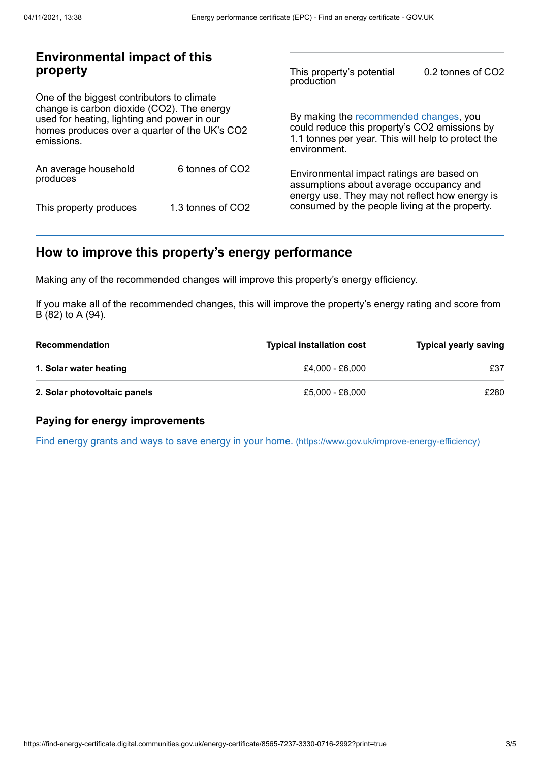## **Environmental impact of this property**

One of the biggest contributors to climate change is carbon dioxide (CO2). The energy used for heating, lighting and power in our homes produces over a quarter of the UK's CO2 emissions.

| An average household<br>produces | 6 tonnes of CO <sub>2</sub> |  |
|----------------------------------|-----------------------------|--|
| This property produces           | 1.3 tonnes of CO2           |  |

This property's potential production 0.2 tonnes of CO2

By making the [recommended](#page-2-0) changes, you could reduce this property's CO2 emissions by 1.1 tonnes per year. This will help to protect the environment.

Environmental impact ratings are based on assumptions about average occupancy and energy use. They may not reflect how energy is consumed by the people living at the property.

# <span id="page-2-0"></span>**How to improve this property's energy performance**

Making any of the recommended changes will improve this property's energy efficiency.

If you make all of the recommended changes, this will improve the property's energy rating and score from B (82) to A (94).

| <b>Recommendation</b>        | <b>Typical installation cost</b> | <b>Typical yearly saving</b> |
|------------------------------|----------------------------------|------------------------------|
| 1. Solar water heating       | £4.000 - £6.000                  | £37                          |
| 2. Solar photovoltaic panels | £5.000 - £8.000                  | £280                         |

### **Paying for energy improvements**

Find energy grants and ways to save energy in your home. [\(https://www.gov.uk/improve-energy-efficiency\)](https://www.gov.uk/improve-energy-efficiency)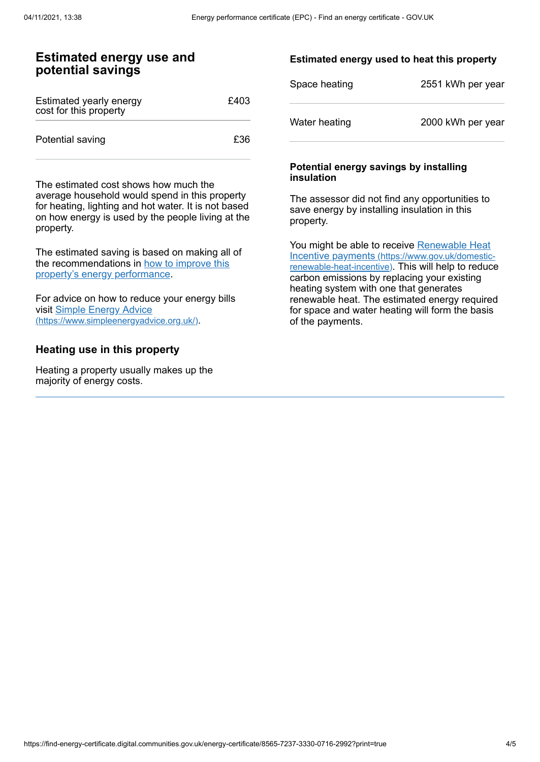## **Estimated energy use and potential savings**

| Estimated yearly energy<br>cost for this property | £403 |
|---------------------------------------------------|------|
| Potential saving                                  | £36. |

The estimated cost shows how much the average household would spend in this property for heating, lighting and hot water. It is not based on how energy is used by the people living at the property.

The estimated saving is based on making all of the [recommendations](#page-2-0) in how to improve this property's energy performance.

For advice on how to reduce your energy bills visit Simple Energy Advice [\(https://www.simpleenergyadvice.org.uk/\)](https://www.simpleenergyadvice.org.uk/).

### **Heating use in this property**

Heating a property usually makes up the majority of energy costs.

### **Estimated energy used to heat this property**

| Space heating | 2551 kWh per year |
|---------------|-------------------|
| Water heating | 2000 kWh per year |

#### **Potential energy savings by installing insulation**

The assessor did not find any opportunities to save energy by installing insulation in this property.

You might be able to receive Renewable Heat Incentive payments [\(https://www.gov.uk/domestic](https://www.gov.uk/domestic-renewable-heat-incentive)renewable-heat-incentive). This will help to reduce carbon emissions by replacing your existing heating system with one that generates renewable heat. The estimated energy required for space and water heating will form the basis of the payments.